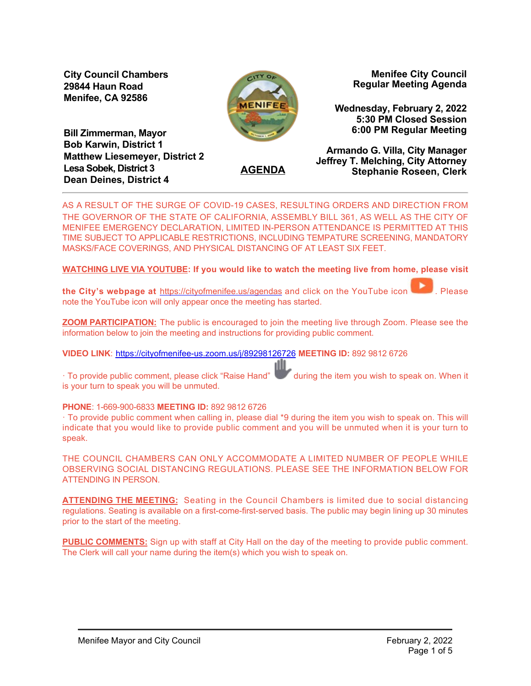**City Council Chambers 29844 Haun Road Menifee, CA 92586**



**Menifee City Council Regular Meeting Agenda**

**Wednesday, February 2, 2022 5:30 PM Closed Session 6:00 PM Regular Meeting**

**Bill Zimmerman, Mayor Bob Karwin, District 1 Matthew Liesemeyer, District 2 Lesa Sobek, District 3 Dean Deines, District 4**

**AGENDA**

**Armando G. Villa, City Manager Jeffrey T. Melching, City Attorney Stephanie Roseen, Clerk**

AS A RESULT OF THE SURGE OF COVID-19 CASES, RESULTING ORDERS AND DIRECTION FROM THE GOVERNOR OF THE STATE OF CALIFORNIA, ASSEMBLY BILL 361, AS WELL AS THE CITY OF MENIFEE EMERGENCY DECLARATION, LIMITED INPERSON ATTENDANCE IS PERMITTED AT THIS TIME SUBJECT TO APPLICABLE RESTRICTIONS, INCLUDING TEMPATURE SCREENING, MANDATORY MASKS/FACE COVERINGS, AND PHYSICAL DISTANCING OF AT LEAST SIX FEET.

**WATCHING LIVE VIA YOUTUBE: If you would like to watch the meeting live from home, please visit**

**the City's webpage at** <https://cityofmenifee.us/agendas>and click on the YouTube icon **the State**. Please note the YouTube icon will only appear once the meeting has started.

**ZOOM PARTICIPATION:** The public is encouraged to join the meeting live through Zoom. Please see the information below to join the meeting and instructions for providing public comment.

**VIDEO LINK**: [https://cityofmenifeeus.zoom.us/j/89298126726](https://cityofmenifee-us.zoom.us/j/89298126726) **MEETING ID:** 892 9812 6726

· To provide public comment, please click "Raise Hand" during the item you wish to speak on. When it is your turn to speak you will be unmuted.

### **PHONE: 1-669-900-6833 MEETING ID: 892 9812 6726**

· To provide public comment when calling in, please dial \*9 during the item you wish to speak on. This will indicate that you would like to provide public comment and you will be unmuted when it is your turn to speak.

THE COUNCIL CHAMBERS CAN ONLY ACCOMMODATE A LIMITED NUMBER OF PEOPLE WHILE OBSERVING SOCIAL DISTANCING REGULATIONS. PLEASE SEE THE INFORMATION BELOW FOR ATTENDING IN PERSON.

**ATTENDING THE MEETING:** Seating in the Council Chambers is limited due to social distancing regulations. Seating is available on a first-come-first-served basis. The public may begin lining up 30 minutes prior to the start of the meeting.

**PUBLIC COMMENTS:** Sign up with staff at City Hall on the day of the meeting to provide public comment. The Clerk will call your name during the item(s) which you wish to speak on.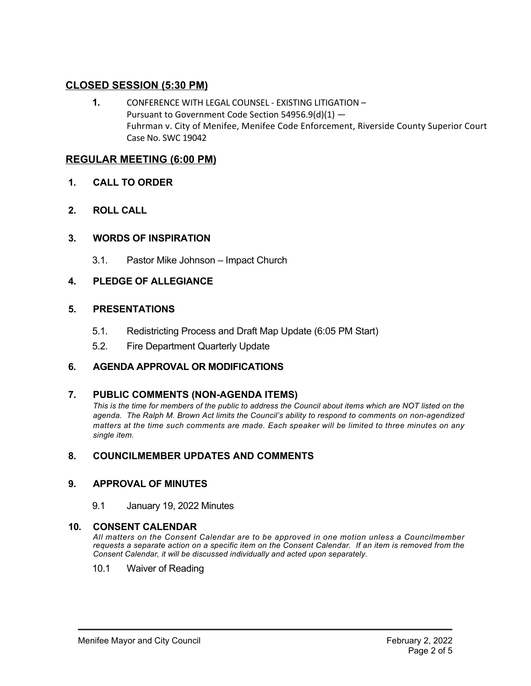# **CLOSED SESSION (5:30 PM)**

**1.** CONFERENCE WITH LEGAL COUNSEL ‐ EXISTING LITIGATION – Pursuant to Government Code Section 54956.9(d)(1) — Fuhrman v. City of Menifee, Menifee Code Enforcement, Riverside County Superior Court Case No. SWC 19042

# **REGULAR MEETING (6:00 PM)**

- **1. CALL TO ORDER**
- **2. ROLL CALL**

# **3. WORDS OF INSPIRATION**

3.1. Pastor Mike Johnson – Impact Church

# **4. PLEDGE OF ALLEGIANCE**

# **5. PRESENTATIONS**

- 5.1. Redistricting Process and Draft Map Update (6:05 PM Start)
- 5.2. Fire Department Quarterly Update

# **6. AGENDA APPROVAL OR MODIFICATIONS**

## 7. **PUBLIC COMMENTS (NON-AGENDA ITEMS)**

*This is the time for members of the public to address the Council about items which are NOT listed on the* agenda. The Ralph M. Brown Act limits the Council's ability to respond to comments on non-agendized *matters at the time such comments are made. Each speaker will be limited to three minutes on any single item.*

# **8. COUNCILMEMBER UPDATES AND COMMENTS**

## **9. APPROVAL OF MINUTES**

9.1 January 19, 2022 Minutes

## **10. CONSENT CALENDAR**

*All matters on the Consent Calendar are to be approved in one motion unless a Councilmember requests a separate action on a specific item on the Consent Calendar. If an item is removed from the Consent Calendar, it will be discussed individually and acted upon separately.*

10.1 Waiver of Reading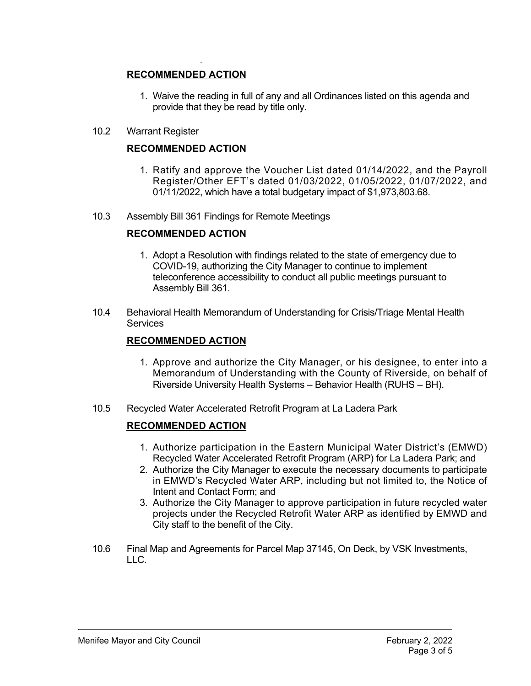# **RECOMMENDED ACTION**

- 1. Waive the reading in full of any and all Ordinances listed on this agenda and provide that they be read by title only.
- 10.2 Warrant Register

# **RECOMMENDED ACTION**

- 1. Ratify and approve the Voucher List dated 01/14/2022, and the Payroll Register/Other EFT's dated 01/03/2022, 01/05/2022, 01/07/2022, and 01/11/2022, which have a total budgetary impact of \$1,973,803.68.
- 10.3 Assembly Bill 361 Findings for Remote Meetings

# **RECOMMENDED ACTION**

- 1. Adopt a Resolution with findings related to the state of emergency due to COVID-19, authorizing the City Manager to continue to implement teleconference accessibility to conduct all public meetings pursuant to Assembly Bill 361.
- 10.4 Behavioral Health Memorandum of Understanding for Crisis/Triage Mental Health **Services**

## **RECOMMENDED ACTION**

- 1. Approve and authorize the City Manager, or his designee, to enter into a Memorandum of Understanding with the County of Riverside, on behalf of Riverside University Health Systems – Behavior Health (RUHS – BH).
- 10.5 Recycled Water Accelerated Retrofit Program at La Ladera Park

## **RECOMMENDED ACTION**

- 1. Authorize participation in the Eastern Municipal Water District's (EMWD) Recycled Water Accelerated Retrofit Program (ARP) for La Ladera Park; and
- 2. Authorize the City Manager to execute the necessary documents to participate in EMWD's Recycled Water ARP, including but not limited to, the Notice of Intent and Contact Form; and
- 3. Authorize the City Manager to approve participation in future recycled water projects under the Recycled Retrofit Water ARP as identified by EMWD and City staff to the benefit of the City.
- 10.6 Final Map and Agreements for Parcel Map 37145, On Deck, by VSK Investments, LLC.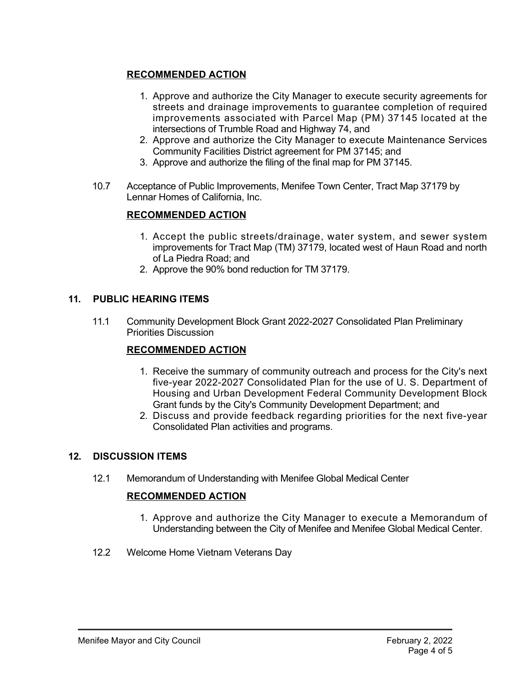# **RECOMMENDED ACTION**

- 1. Approve and authorize the City Manager to execute security agreements for streets and drainage improvements to guarantee completion of required improvements associated with Parcel Map (PM) 37145 located at the intersections of Trumble Road and Highway 74, and
- 2. Approve and authorize the City Manager to execute Maintenance Services Community Facilities District agreement for PM 37145; and
- 3. Approve and authorize the filing of the final map for PM 37145.
- 10.7 Acceptance of Public Improvements, Menifee Town Center, Tract Map 37179 by Lennar Homes of California, Inc.

# **RECOMMENDED ACTION**

- 1. Accept the public streets/drainage, water system, and sewer system improvements for Tract Map (TM) 37179, located west of Haun Road and north of La Piedra Road; and
- 2. Approve the 90% bond reduction for TM 37179.

# **11. PUBLIC HEARING ITEMS**

11.1 Community Development Block Grant 2022-2027 Consolidated Plan Preliminary Priorities Discussion

# **RECOMMENDED ACTION**

- 1. Receive the summary of community outreach and process for the City's next five-year 2022-2027 Consolidated Plan for the use of U. S. Department of Housing and Urban Development Federal Community Development Block Grant funds by the City's Community Development Department; and
- 2. Discuss and provide feedback regarding priorities for the next five-year Consolidated Plan activities and programs.

## **12. DISCUSSION ITEMS**

12.1 Memorandum of Understanding with Menifee Global Medical Center

# **RECOMMENDED ACTION**

- 1. Approve and authorize the City Manager to execute a Memorandum of Understanding between the City of Menifee and Menifee Global Medical Center.
- 12.2 Welcome Home Vietnam Veterans Day